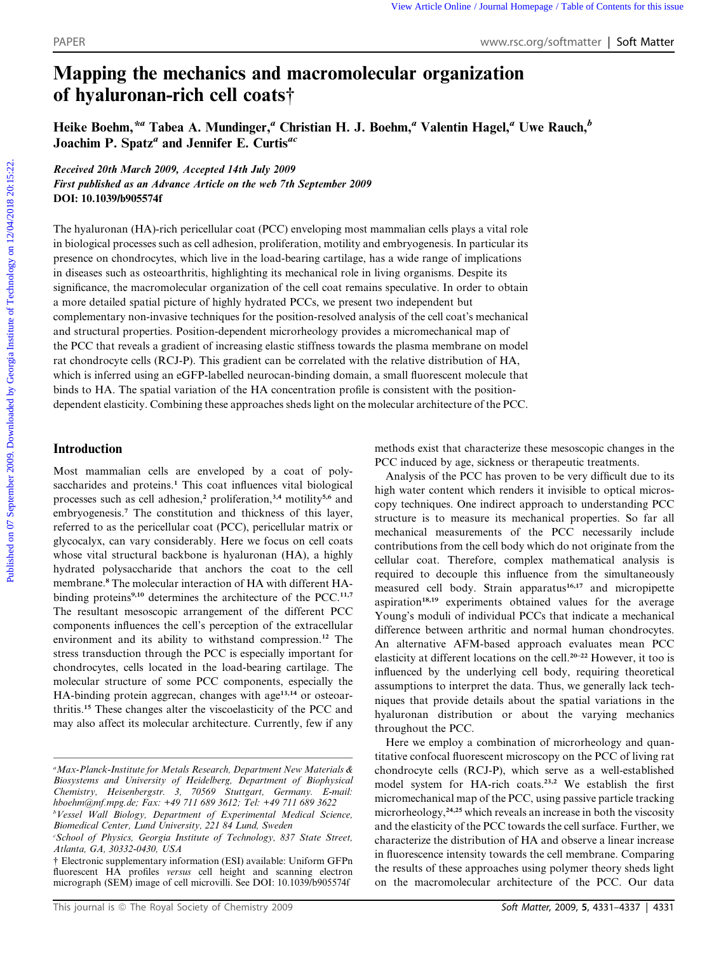# Mapping the mechanics and macromolecular organization of hyaluronan-rich cell coats†

Heike Boehm,<sup>\*a</sup> Tabea A. Mundinger,<sup>a</sup> Christian H. J. Boehm,<sup>a</sup> Valentin Hagel,<sup>a</sup> Uwe Rauch,<sup>b</sup> Joachim P. Spatz<sup>a</sup> and Jennifer E. Curtis<sup>ac</sup>

Received 20th March 2009, Accepted 14th July 2009 First published as an Advance Article on the web 7th September 2009 DOI: 10.1039/b905574f

The hyaluronan (HA)-rich pericellular coat (PCC) enveloping most mammalian cells plays a vital role in biological processes such as cell adhesion, proliferation, motility and embryogenesis. In particular its presence on chondrocytes, which live in the load-bearing cartilage, has a wide range of implications in diseases such as osteoarthritis, highlighting its mechanical role in living organisms. Despite its significance, the macromolecular organization of the cell coat remains speculative. In order to obtain a more detailed spatial picture of highly hydrated PCCs, we present two independent but complementary non-invasive techniques for the position-resolved analysis of the cell coat's mechanical and structural properties. Position-dependent microrheology provides a micromechanical map of the PCC that reveals a gradient of increasing elastic stiffness towards the plasma membrane on model rat chondrocyte cells (RCJ-P). This gradient can be correlated with the relative distribution of HA, which is inferred using an eGFP-labelled neurocan-binding domain, a small fluorescent molecule that binds to HA. The spatial variation of the HA concentration profile is consistent with the positiondependent elasticity. Combining these approaches sheds light on the molecular architecture of the PCC. PUBE SPECIES MANUTEER CONTRIBUTE TO CONTRIBUTE TO PERIODIC CONTRIBUTE TO DETERMINISTIC SOFTINGTON THE CONTRIBUTE TO CONTRIBUTE THE CONTRIBUTE TO A CONTRIBUTE TO A CONTRIBUTE TO A CONTRIBUTE TO A CONTRIBUTE TO A CONTRIBUTE

## Introduction

Most mammalian cells are enveloped by a coat of polysaccharides and proteins.<sup>1</sup> This coat influences vital biological processes such as cell adhesion,<sup>2</sup> proliferation,<sup>3,4</sup> motility<sup>5,6</sup> and embryogenesis.<sup>7</sup> The constitution and thickness of this layer, referred to as the pericellular coat (PCC), pericellular matrix or glycocalyx, can vary considerably. Here we focus on cell coats whose vital structural backbone is hyaluronan (HA), a highly hydrated polysaccharide that anchors the coat to the cell membrane.<sup>8</sup> The molecular interaction of HA with different HAbinding proteins<sup>9,10</sup> determines the architecture of the PCC.<sup>11,7</sup> The resultant mesoscopic arrangement of the different PCC components influences the cell's perception of the extracellular environment and its ability to withstand compression.<sup>12</sup> The stress transduction through the PCC is especially important for chondrocytes, cells located in the load-bearing cartilage. The molecular structure of some PCC components, especially the HA-binding protein aggrecan, changes with age<sup>13,14</sup> or osteoarthritis.<sup>15</sup> These changes alter the viscoelasticity of the PCC and may also affect its molecular architecture. Currently, few if any

methods exist that characterize these mesoscopic changes in the PCC induced by age, sickness or therapeutic treatments.

Analysis of the PCC has proven to be very difficult due to its high water content which renders it invisible to optical microscopy techniques. One indirect approach to understanding PCC structure is to measure its mechanical properties. So far all mechanical measurements of the PCC necessarily include contributions from the cell body which do not originate from the cellular coat. Therefore, complex mathematical analysis is required to decouple this influence from the simultaneously measured cell body. Strain apparatus<sup>16,17</sup> and micropipette aspiration<sup>18,19</sup> experiments obtained values for the average Young's moduli of individual PCCs that indicate a mechanical difference between arthritic and normal human chondrocytes. An alternative AFM-based approach evaluates mean PCC elasticity at different locations on the cell.<sup>20–22</sup> However, it too is influenced by the underlying cell body, requiring theoretical assumptions to interpret the data. Thus, we generally lack techniques that provide details about the spatial variations in the hyaluronan distribution or about the varying mechanics throughout the PCC.

Here we employ a combination of microrheology and quantitative confocal fluorescent microscopy on the PCC of living rat chondrocyte cells (RCJ-P), which serve as a well-established model system for HA-rich coats.<sup>23,2</sup> We establish the first micromechanical map of the PCC, using passive particle tracking microrheology,<sup>24,25</sup> which reveals an increase in both the viscosity and the elasticity of the PCC towards the cell surface. Further, we characterize the distribution of HA and observe a linear increase in fluorescence intensity towards the cell membrane. Comparing the results of these approaches using polymer theory sheds light on the macromolecular architecture of the PCC. Our data

a Max-Planck-Institute for Metals Research, Department New Materials & Biosystems and University of Heidelberg, Department of Biophysical Chemistry, Heisenbergstr. 3, 70569 Stuttgart, Germany. E-mail: hboehm@mf.mpg.de; Fax: +49 711 689 3612; Tel: +49 711 689 3622

<sup>&</sup>lt;sup>b</sup>Vessel Wall Biology, Department of Experimental Medical Science, Biomedical Center, Lund University, 221 84 Lund, Sweden

<sup>&</sup>lt;sup>c</sup>School of Physics, Georgia Institute of Technology, 837 State Street, Atlanta, GA, 30332-0430, USA

<sup>†</sup> Electronic supplementary information (ESI) available: Uniform GFPn fluorescent HA profiles versus cell height and scanning electron micrograph (SEM) image of cell microvilli. See DOI: 10.1039/b905574f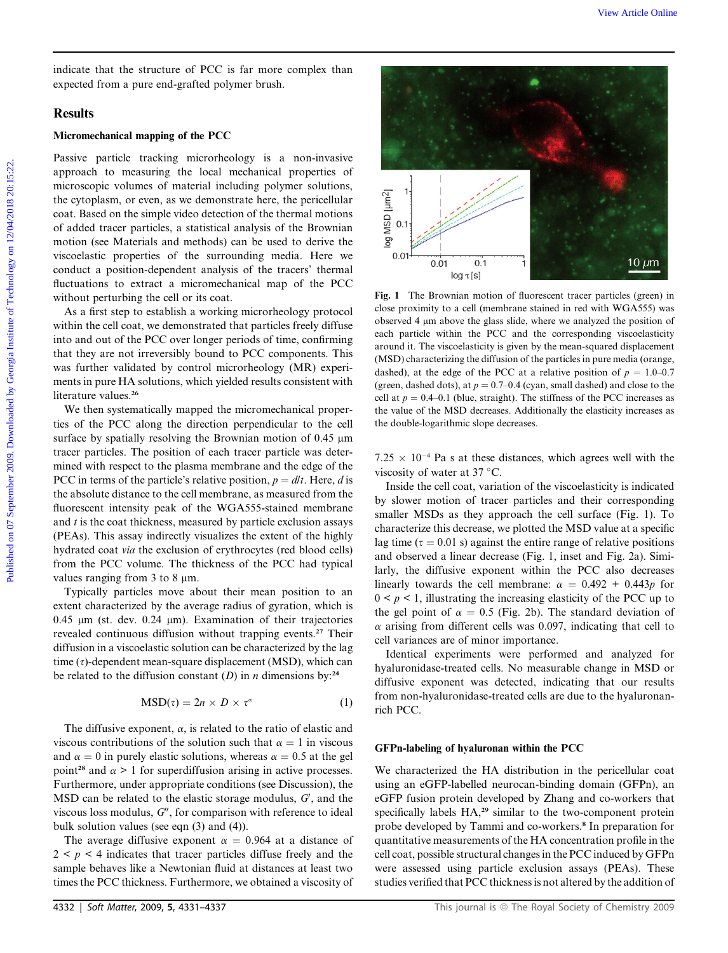indicate that the structure of PCC is far more complex than expected from a pure end-grafted polymer brush.

## **Results**

## Micromechanical mapping of the PCC

Passive particle tracking microrheology is a non-invasive approach to measuring the local mechanical properties of microscopic volumes of material including polymer solutions, the cytoplasm, or even, as we demonstrate here, the pericellular coat. Based on the simple video detection of the thermal motions of added tracer particles, a statistical analysis of the Brownian motion (see Materials and methods) can be used to derive the viscoelastic properties of the surrounding media. Here we conduct a position-dependent analysis of the tracers' thermal fluctuations to extract a micromechanical map of the PCC without perturbing the cell or its coat.

As a first step to establish a working microrheology protocol within the cell coat, we demonstrated that particles freely diffuse into and out of the PCC over longer periods of time, confirming that they are not irreversibly bound to PCC components. This was further validated by control microrheology (MR) experiments in pure HA solutions, which yielded results consistent with literature values.<sup>26</sup>

We then systematically mapped the micromechanical properties of the PCC along the direction perpendicular to the cell surface by spatially resolving the Brownian motion of  $0.45 \mu m$ tracer particles. The position of each tracer particle was determined with respect to the plasma membrane and the edge of the PCC in terms of the particle's relative position,  $p = d/t$ . Here, d is the absolute distance to the cell membrane, as measured from the fluorescent intensity peak of the WGA555-stained membrane and  $t$  is the coat thickness, measured by particle exclusion assays (PEAs). This assay indirectly visualizes the extent of the highly hydrated coat via the exclusion of erythrocytes (red blood cells) from the PCC volume. The thickness of the PCC had typical values ranging from  $3$  to  $8 \mu m$ .

Typically particles move about their mean position to an extent characterized by the average radius of gyration, which is  $0.45$  µm (st. dev.  $0.24$  µm). Examination of their trajectories revealed continuous diffusion without trapping events.<sup>27</sup> Their diffusion in a viscoelastic solution can be characterized by the lag time  $(\tau)$ -dependent mean-square displacement (MSD), which can be related to the diffusion constant  $(D)$  in *n* dimensions by:<sup>24</sup>

$$
MSD(\tau) = 2n \times D \times \tau^{\alpha} \tag{1}
$$

The diffusive exponent,  $\alpha$ , is related to the ratio of elastic and viscous contributions of the solution such that  $\alpha = 1$  in viscous and  $\alpha = 0$  in purely elastic solutions, whereas  $\alpha = 0.5$  at the gel point<sup>28</sup> and  $\alpha$  > 1 for superdiffusion arising in active processes. Furthermore, under appropriate conditions (see Discussion), the  $\text{MSD}$  can be related to the elastic storage modulus,  $G'$ , and the viscous loss modulus,  $G''$ , for comparison with reference to ideal bulk solution values (see eqn (3) and (4)).

The average diffusive exponent  $\alpha = 0.964$  at a distance of  $2 < p < 4$  indicates that tracer particles diffuse freely and the sample behaves like a Newtonian fluid at distances at least two times the PCC thickness. Furthermore, we obtained a viscosity of



Fig. 1 The Brownian motion of fluorescent tracer particles (green) in close proximity to a cell (membrane stained in red with WGA555) was observed 4 um above the glass slide, where we analyzed the position of each particle within the PCC and the corresponding viscoelasticity around it. The viscoelasticity is given by the mean-squared displacement (MSD) characterizing the diffusion of the particles in pure media (orange, dashed), at the edge of the PCC at a relative position of  $p = 1.0{\text -}0.7$ (green, dashed dots), at  $p = 0.7{\text -}0.4$  (cyan, small dashed) and close to the cell at  $p = 0.4$ –0.1 (blue, straight). The stiffness of the PCC increases as the value of the MSD decreases. Additionally the elasticity increases as the double-logarithmic slope decreases.

 $7.25 \times 10^{-4}$  Pa s at these distances, which agrees well with the viscosity of water at  $37^{\circ}$ C.

Inside the cell coat, variation of the viscoelasticity is indicated by slower motion of tracer particles and their corresponding smaller MSDs as they approach the cell surface (Fig. 1). To characterize this decrease, we plotted the MSD value at a specific lag time ( $\tau = 0.01$  s) against the entire range of relative positions and observed a linear decrease (Fig. 1, inset and Fig. 2a). Similarly, the diffusive exponent within the PCC also decreases linearly towards the cell membrane:  $\alpha = 0.492 + 0.443p$  for  $0 \le p \le 1$ , illustrating the increasing elasticity of the PCC up to the gel point of  $\alpha = 0.5$  (Fig. 2b). The standard deviation of  $\alpha$  arising from different cells was 0.097, indicating that cell to cell variances are of minor importance.

Identical experiments were performed and analyzed for hyaluronidase-treated cells. No measurable change in MSD or diffusive exponent was detected, indicating that our results from non-hyaluronidase-treated cells are due to the hyaluronanrich PCC.

## GFPn-labeling of hyaluronan within the PCC

We characterized the HA distribution in the pericellular coat using an eGFP-labelled neurocan-binding domain (GFPn), an eGFP fusion protein developed by Zhang and co-workers that specifically labels HA,<sup>29</sup> similar to the two-component protein probe developed by Tammi and co-workers.<sup>8</sup> In preparation for quantitative measurements of the HA concentration profile in the cell coat, possible structural changes in the PCC induced by GFPn were assessed using particle exclusion assays (PEAs). These studies verified that PCC thickness is not altered by the addition of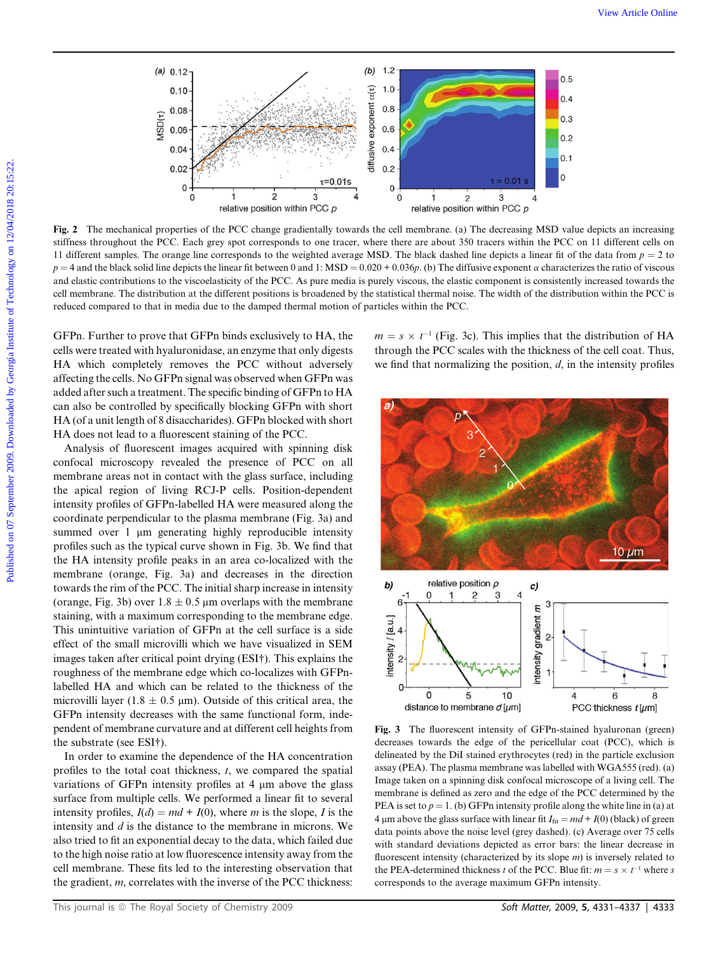

Fig. 2 The mechanical properties of the PCC change gradientally towards the cell membrane. (a) The decreasing MSD value depicts an increasing stiffness throughout the PCC. Each grey spot corresponds to one tracer, where there are about 350 tracers within the PCC on 11 different cells on 11 different samples. The orange line corresponds to the weighted average MSD. The black dashed line depicts a linear fit of the data from  $p = 2$  to  $p = 4$  and the black solid line depicts the linear fit between 0 and 1: MSD = 0.020 + 0.036p. (b) The diffusive exponent  $\alpha$  characterizes the ratio of viscous and elastic contributions to the viscoelasticity of the PCC. As pure media is purely viscous, the elastic component is consistently increased towards the cell membrane. The distribution at the different positions is broadened by the statistical thermal noise. The width of the distribution within the PCC is reduced compared to that in media due to the damped thermal motion of particles within the PCC.

GFPn. Further to prove that GFPn binds exclusively to HA, the cells were treated with hyaluronidase, an enzyme that only digests HA which completely removes the PCC without adversely affecting the cells. No GFPn signal was observed when GFPn was added after such a treatment. The specific binding of GFPn to HA can also be controlled by specifically blocking GFPn with short HA (of a unit length of 8 disaccharides). GFPn blocked with short HA does not lead to a fluorescent staining of the PCC.

Analysis of fluorescent images acquired with spinning disk confocal microscopy revealed the presence of PCC on all membrane areas not in contact with the glass surface, including the apical region of living RCJ-P cells. Position-dependent intensity profiles of GFPn-labelled HA were measured along the coordinate perpendicular to the plasma membrane (Fig. 3a) and summed over  $1 \mu m$  generating highly reproducible intensity profiles such as the typical curve shown in Fig. 3b. We find that the HA intensity profile peaks in an area co-localized with the membrane (orange, Fig. 3a) and decreases in the direction towards the rim of the PCC. The initial sharp increase in intensity (orange, Fig. 3b) over  $1.8 \pm 0.5$  µm overlaps with the membrane staining, with a maximum corresponding to the membrane edge. This unintuitive variation of GFPn at the cell surface is a side effect of the small microvilli which we have visualized in SEM images taken after critical point drying (ESI†). This explains the roughness of the membrane edge which co-localizes with GFPnlabelled HA and which can be related to the thickness of the microvilli layer (1.8  $\pm$  0.5 µm). Outside of this critical area, the GFPn intensity decreases with the same functional form, independent of membrane curvature and at different cell heights from the substrate (see ESI†).

In order to examine the dependence of the HA concentration profiles to the total coat thickness,  $t$ , we compared the spatial variations of GFPn intensity profiles at  $4 \mu m$  above the glass surface from multiple cells. We performed a linear fit to several intensity profiles,  $I(d) = md + I(0)$ , where m is the slope, I is the intensity and  $d$  is the distance to the membrane in microns. We also tried to fit an exponential decay to the data, which failed due to the high noise ratio at low fluorescence intensity away from the cell membrane. These fits led to the interesting observation that the gradient, m, correlates with the inverse of the PCC thickness:

 $m = s \times t^{-1}$  (Fig. 3c). This implies that the distribution of HA through the PCC scales with the thickness of the cell coat. Thus, we find that normalizing the position,  $d$ , in the intensity profiles



Fig. 3 The fluorescent intensity of GFPn-stained hyaluronan (green) decreases towards the edge of the pericellular coat (PCC), which is delineated by the DiI stained erythrocytes (red) in the particle exclusion assay (PEA). The plasma membrane was labelled with WGA555 (red). (a) Image taken on a spinning disk confocal microscope of a living cell. The membrane is defined as zero and the edge of the PCC determined by the PEA is set to  $p = 1$ . (b) GFPn intensity profile along the white line in (a) at 4 µm above the glass surface with linear fit  $I_{fit} = md + I(0)$  (black) of green data points above the noise level (grey dashed). (c) Average over 75 cells with standard deviations depicted as error bars: the linear decrease in fluorescent intensity (characterized by its slope  $m$ ) is inversely related to the PEA-determined thickness *t* of the PCC. Blue fit:  $m = s \times t^{-1}$  where *s* corresponds to the average maximum GFPn intensity.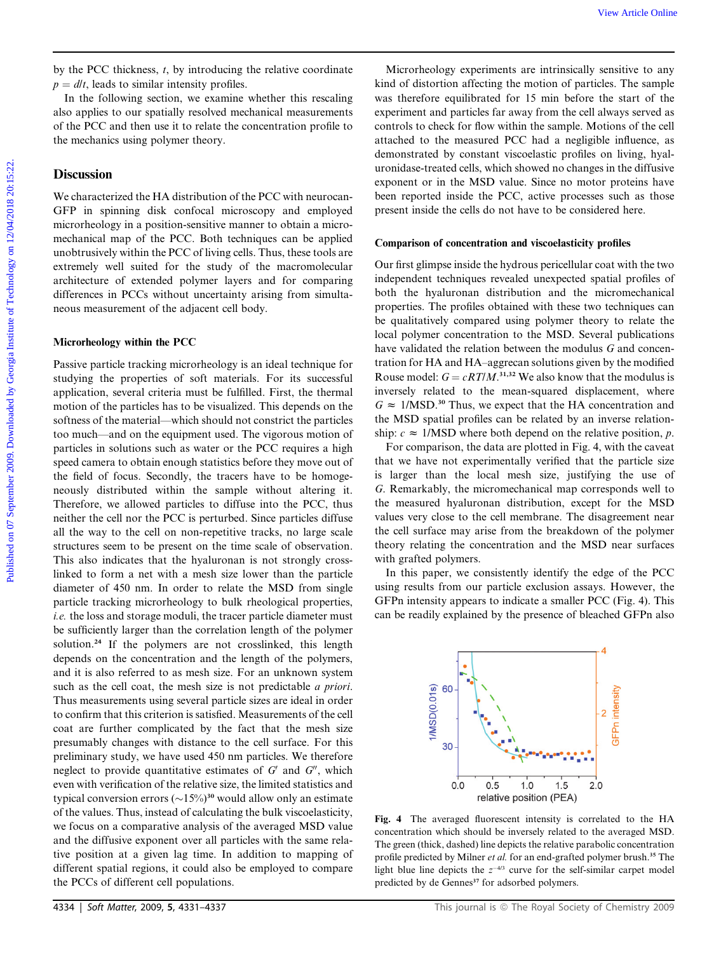by the PCC thickness,  $t$ , by introducing the relative coordinate  $p = d/t$ , leads to similar intensity profiles.

In the following section, we examine whether this rescaling also applies to our spatially resolved mechanical measurements of the PCC and then use it to relate the concentration profile to the mechanics using polymer theory.

## **Discussion**

We characterized the HA distribution of the PCC with neurocan-GFP in spinning disk confocal microscopy and employed microrheology in a position-sensitive manner to obtain a micromechanical map of the PCC. Both techniques can be applied unobtrusively within the PCC of living cells. Thus, these tools are extremely well suited for the study of the macromolecular architecture of extended polymer layers and for comparing differences in PCCs without uncertainty arising from simultaneous measurement of the adjacent cell body.

#### Microrheology within the PCC

Passive particle tracking microrheology is an ideal technique for studying the properties of soft materials. For its successful application, several criteria must be fulfilled. First, the thermal motion of the particles has to be visualized. This depends on the softness of the material—which should not constrict the particles too much—and on the equipment used. The vigorous motion of particles in solutions such as water or the PCC requires a high speed camera to obtain enough statistics before they move out of the field of focus. Secondly, the tracers have to be homogeneously distributed within the sample without altering it. Therefore, we allowed particles to diffuse into the PCC, thus neither the cell nor the PCC is perturbed. Since particles diffuse all the way to the cell on non-repetitive tracks, no large scale structures seem to be present on the time scale of observation. This also indicates that the hyaluronan is not strongly crosslinked to form a net with a mesh size lower than the particle diameter of 450 nm. In order to relate the MSD from single particle tracking microrheology to bulk rheological properties,  $i.e.$  the loss and storage moduli, the tracer particle diameter must be sufficiently larger than the correlation length of the polymer solution.<sup>24</sup> If the polymers are not crosslinked, this length depends on the concentration and the length of the polymers, and it is also referred to as mesh size. For an unknown system such as the cell coat, the mesh size is not predictable a priori. Thus measurements using several particle sizes are ideal in order to confirm that this criterion is satisfied. Measurements of the cell coat are further complicated by the fact that the mesh size presumably changes with distance to the cell surface. For this preliminary study, we have used 450 nm particles. We therefore neglect to provide quantitative estimates of  $G'$  and  $G''$ , which even with verification of the relative size, the limited statistics and typical conversion errors  $(\sim 15\%)^{30}$  would allow only an estimate of the values. Thus, instead of calculating the bulk viscoelasticity, we focus on a comparative analysis of the averaged MSD value and the diffusive exponent over all particles with the same relative position at a given lag time. In addition to mapping of different spatial regions, it could also be employed to compare the PCCs of different cell populations. For the PCC states of the state of the results of the continue of the continue of the continue of the continue of the continue of the continue of the continue of the continue of the continue of the continue of the continu

Microrheology experiments are intrinsically sensitive to any kind of distortion affecting the motion of particles. The sample was therefore equilibrated for 15 min before the start of the experiment and particles far away from the cell always served as controls to check for flow within the sample. Motions of the cell attached to the measured PCC had a negligible influence, as demonstrated by constant viscoelastic profiles on living, hyaluronidase-treated cells, which showed no changes in the diffusive exponent or in the MSD value. Since no motor proteins have been reported inside the PCC, active processes such as those present inside the cells do not have to be considered here.

#### Comparison of concentration and viscoelasticity profiles

Our first glimpse inside the hydrous pericellular coat with the two independent techniques revealed unexpected spatial profiles of both the hyaluronan distribution and the micromechanical properties. The profiles obtained with these two techniques can be qualitatively compared using polymer theory to relate the local polymer concentration to the MSD. Several publications have validated the relation between the modulus G and concentration for HA and HA–aggrecan solutions given by the modified Rouse model:  $G = cRT/M$ .<sup>31,32</sup> We also know that the modulus is inversely related to the mean-squared displacement, where  $G \approx 1/\text{MSD}^{30}$  Thus, we expect that the HA concentration and the MSD spatial profiles can be related by an inverse relationship:  $c \approx 1/MSD$  where both depend on the relative position, p.

For comparison, the data are plotted in Fig. 4, with the caveat that we have not experimentally verified that the particle size is larger than the local mesh size, justifying the use of G. Remarkably, the micromechanical map corresponds well to the measured hyaluronan distribution, except for the MSD values very close to the cell membrane. The disagreement near the cell surface may arise from the breakdown of the polymer theory relating the concentration and the MSD near surfaces with grafted polymers.

In this paper, we consistently identify the edge of the PCC using results from our particle exclusion assays. However, the GFPn intensity appears to indicate a smaller PCC (Fig. 4). This can be readily explained by the presence of bleached GFPn also



Fig. 4 The averaged fluorescent intensity is correlated to the HA concentration which should be inversely related to the averaged MSD. The green (thick, dashed) line depicts the relative parabolic concentration profile predicted by Milner et al. for an end-grafted polymer brush.<sup>35</sup> The light blue line depicts the  $z^{-4/3}$  curve for the self-similar carpet model predicted by de Gennes<sup>37</sup> for adsorbed polymers.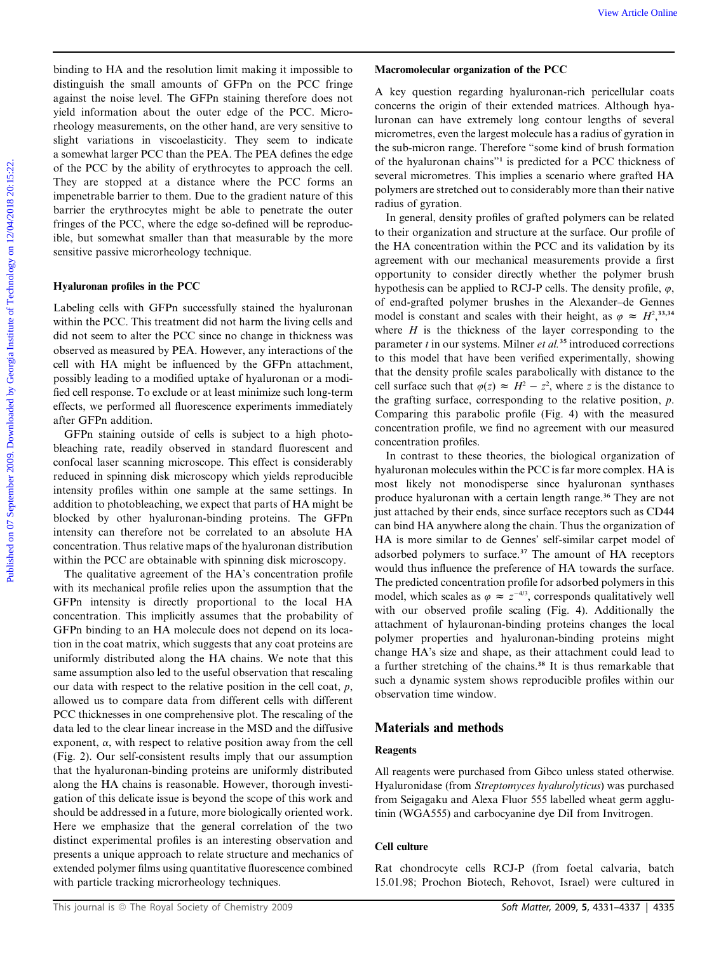binding to HA and the resolution limit making it impossible to distinguish the small amounts of GFPn on the PCC fringe against the noise level. The GFPn staining therefore does not yield information about the outer edge of the PCC. Microrheology measurements, on the other hand, are very sensitive to slight variations in viscoelasticity. They seem to indicate a somewhat larger PCC than the PEA. The PEA defines the edge of the PCC by the ability of erythrocytes to approach the cell. They are stopped at a distance where the PCC forms an impenetrable barrier to them. Due to the gradient nature of this barrier the erythrocytes might be able to penetrate the outer fringes of the PCC, where the edge so-defined will be reproducible, but somewhat smaller than that measurable by the more sensitive passive microrheology technique.

## Hyaluronan profiles in the PCC

Labeling cells with GFPn successfully stained the hyaluronan within the PCC. This treatment did not harm the living cells and did not seem to alter the PCC since no change in thickness was observed as measured by PEA. However, any interactions of the cell with HA might be influenced by the GFPn attachment, possibly leading to a modified uptake of hyaluronan or a modified cell response. To exclude or at least minimize such long-term effects, we performed all fluorescence experiments immediately after GFPn addition.

GFPn staining outside of cells is subject to a high photobleaching rate, readily observed in standard fluorescent and confocal laser scanning microscope. This effect is considerably reduced in spinning disk microscopy which yields reproducible intensity profiles within one sample at the same settings. In addition to photobleaching, we expect that parts of HA might be blocked by other hyaluronan-binding proteins. The GFPn intensity can therefore not be correlated to an absolute HA concentration. Thus relative maps of the hyaluronan distribution within the PCC are obtainable with spinning disk microscopy.

The qualitative agreement of the HA's concentration profile with its mechanical profile relies upon the assumption that the GFPn intensity is directly proportional to the local HA concentration. This implicitly assumes that the probability of GFPn binding to an HA molecule does not depend on its location in the coat matrix, which suggests that any coat proteins are uniformly distributed along the HA chains. We note that this same assumption also led to the useful observation that rescaling our data with respect to the relative position in the cell coat,  $p$ , allowed us to compare data from different cells with different PCC thicknesses in one comprehensive plot. The rescaling of the data led to the clear linear increase in the MSD and the diffusive exponent,  $\alpha$ , with respect to relative position away from the cell (Fig. 2). Our self-consistent results imply that our assumption that the hyaluronan-binding proteins are uniformly distributed along the HA chains is reasonable. However, thorough investigation of this delicate issue is beyond the scope of this work and should be addressed in a future, more biologically oriented work. Here we emphasize that the general correlation of the two distinct experimental profiles is an interesting observation and presents a unique approach to relate structure and mechanics of extended polymer films using quantitative fluorescence combined with particle tracking microrheology techniques.

#### Macromolecular organization of the PCC

A key question regarding hyaluronan-rich pericellular coats concerns the origin of their extended matrices. Although hyaluronan can have extremely long contour lengths of several micrometres, even the largest molecule has a radius of gyration in the sub-micron range. Therefore ''some kind of brush formation of the hyaluronan chains''<sup>1</sup> is predicted for a PCC thickness of several micrometres. This implies a scenario where grafted HA polymers are stretched out to considerably more than their native radius of gyration.

In general, density profiles of grafted polymers can be related to their organization and structure at the surface. Our profile of the HA concentration within the PCC and its validation by its agreement with our mechanical measurements provide a first opportunity to consider directly whether the polymer brush hypothesis can be applied to RCJ-P cells. The density profile,  $\varphi$ , of end-grafted polymer brushes in the Alexander–de Gennes model is constant and scales with their height, as  $\varphi \approx H^{2,33,34}$ where  $H$  is the thickness of the layer corresponding to the parameter  $t$  in our systems. Milner  $et$   $al$ .<sup>35</sup> introduced corrections to this model that have been verified experimentally, showing that the density profile scales parabolically with distance to the cell surface such that  $\varphi(z) \approx H^2 - z^2$ , where z is the distance to the grafting surface, corresponding to the relative position, p. Comparing this parabolic profile (Fig. 4) with the measured concentration profile, we find no agreement with our measured concentration profiles. Very Article contribute that making it impossible to **Macouselectar organizations of the PCC** interaction as a material of the DCC interaction by A Lay quantitations about the organization of the PCC by the collection of

In contrast to these theories, the biological organization of hyaluronan molecules within the PCC is far more complex. HA is most likely not monodisperse since hyaluronan synthases produce hyaluronan with a certain length range.<sup>36</sup> They are not just attached by their ends, since surface receptors such as CD44 can bind HA anywhere along the chain. Thus the organization of HA is more similar to de Gennes' self-similar carpet model of adsorbed polymers to surface.<sup>37</sup> The amount of HA receptors would thus influence the preference of HA towards the surface. The predicted concentration profile for adsorbed polymers in this model, which scales as  $\varphi \approx z^{-4/3}$ , corresponds qualitatively well with our observed profile scaling (Fig. 4). Additionally the attachment of hylauronan-binding proteins changes the local polymer properties and hyaluronan-binding proteins might change HA's size and shape, as their attachment could lead to a further stretching of the chains.<sup>38</sup> It is thus remarkable that such a dynamic system shows reproducible profiles within our observation time window.

## Materials and methods

## Reagents

All reagents were purchased from Gibco unless stated otherwise. Hyaluronidase (from Streptomyces hyalurolyticus) was purchased from Seigagaku and Alexa Fluor 555 labelled wheat germ agglutinin (WGA555) and carbocyanine dye DiI from Invitrogen.

## Cell culture

Rat chondrocyte cells RCJ-P (from foetal calvaria, batch 15.01.98; Prochon Biotech, Rehovot, Israel) were cultured in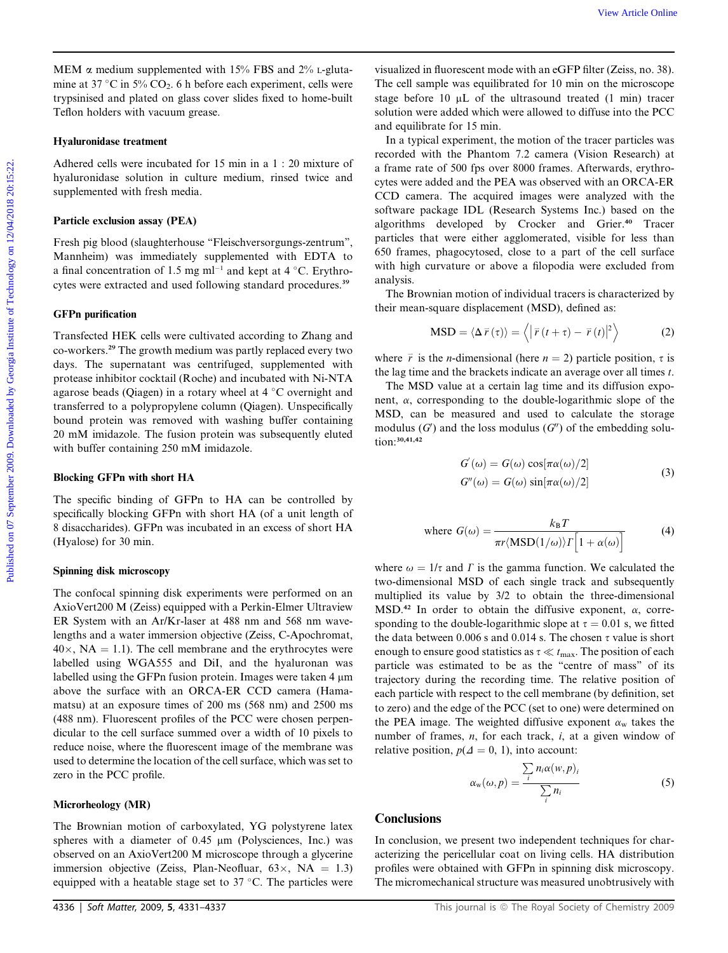MEM  $\alpha$  medium supplemented with 15% FBS and 2% L-glutamine at 37 °C in 5% CO<sub>2</sub>. 6 h before each experiment, cells were trypsinised and plated on glass cover slides fixed to home-built Teflon holders with vacuum grease.

### Hyaluronidase treatment

Adhered cells were incubated for 15 min in a 1 : 20 mixture of hyaluronidase solution in culture medium, rinsed twice and supplemented with fresh media.

#### Particle exclusion assay (PEA)

Fresh pig blood (slaughterhouse "Fleischversorgungs-zentrum", Mannheim) was immediately supplemented with EDTA to a final concentration of 1.5 mg ml<sup>-1</sup> and kept at 4 °C. Erythrocytes were extracted and used following standard procedures.<sup>39</sup>

### GFPn purification

Transfected HEK cells were cultivated according to Zhang and co-workers.<sup>29</sup> The growth medium was partly replaced every two days. The supernatant was centrifuged, supplemented with protease inhibitor cocktail (Roche) and incubated with Ni-NTA agarose beads (Qiagen) in a rotary wheel at 4 °C overnight and transferred to a polypropylene column (Qiagen). Unspecifically bound protein was removed with washing buffer containing 20 mM imidazole. The fusion protein was subsequently eluted with buffer containing 250 mM imidazole.

## Blocking GFPn with short HA

The specific binding of GFPn to HA can be controlled by specifically blocking GFPn with short HA (of a unit length of 8 disaccharides). GFPn was incubated in an excess of short HA (Hyalose) for 30 min.

#### Spinning disk microscopy

The confocal spinning disk experiments were performed on an AxioVert200 M (Zeiss) equipped with a Perkin-Elmer Ultraview ER System with an Ar/Kr-laser at 488 nm and 568 nm wavelengths and a water immersion objective (Zeiss, C-Apochromat,  $40\times$ , NA = 1.1). The cell membrane and the erythrocytes were labelled using WGA555 and DiI, and the hyaluronan was labelled using the GFPn fusion protein. Images were taken  $4 \mu m$ above the surface with an ORCA-ER CCD camera (Hamamatsu) at an exposure times of 200 ms (568 nm) and 2500 ms (488 nm). Fluorescent profiles of the PCC were chosen perpendicular to the cell surface summed over a width of 10 pixels to reduce noise, where the fluorescent image of the membrane was used to determine the location of the cell surface, which was set to zero in the PCC profile.

#### Microrheology (MR)

The Brownian motion of carboxylated, YG polystyrene latex spheres with a diameter of  $0.45 \mu m$  (Polysciences, Inc.) was observed on an AxioVert200 M microscope through a glycerine immersion objective (Zeiss, Plan-Neofluar,  $63 \times$ , NA = 1.3) equipped with a heatable stage set to 37  $^{\circ}$ C. The particles were

In a typical experiment, the motion of the tracer particles was recorded with the Phantom 7.2 camera (Vision Research) at a frame rate of 500 fps over 8000 frames. Afterwards, erythrocytes were added and the PEA was observed with an ORCA-ER CCD camera. The acquired images were analyzed with the software package IDL (Research Systems Inc.) based on the algorithms developed by Crocker and Grier.<sup>40</sup> Tracer particles that were either agglomerated, visible for less than 650 frames, phagocytosed, close to a part of the cell surface with high curvature or above a filopodia were excluded from analysis. Vew Article computers of the 1980 FBS and 2% t-gluta-<br>
visualized in fractescent node with an GFP filter (Zeis, no. 38).<br>
try Cen September 2009. As histographs and a propose the same applicated and probabilities of the m

The Brownian motion of individual tracers is characterized by their mean-square displacement (MSD), defined as:

$$
\text{MSD} = \langle \Delta \vec{r}(\tau) \rangle = \langle |\vec{r}(t + \tau) - \vec{r}(t)|^2 \rangle \tag{2}
$$

where  $\vec{r}$  is the *n*-dimensional (here  $n = 2$ ) particle position,  $\tau$  is the lag time and the brackets indicate an average over all times t.

The MSD value at a certain lag time and its diffusion exponent,  $\alpha$ , corresponding to the double-logarithmic slope of the MSD, can be measured and used to calculate the storage modulus  $(G')$  and the loss modulus  $(G'')$  of the embedding solution:30,41,42

$$
G'(\omega) = G(\omega) \cos[\pi \alpha(\omega)/2]
$$
  
\n
$$
G''(\omega) = G(\omega) \sin[\pi \alpha(\omega)/2]
$$
\n(3)

where 
$$
G(\omega) = \frac{k_B T}{\pi r \langle \text{MSD}(1/\omega) \rangle \Gamma \left[ 1 + \alpha(\omega) \right]}
$$
 (4)

where  $\omega = 1/\tau$  and  $\Gamma$  is the gamma function. We calculated the two-dimensional MSD of each single track and subsequently multiplied its value by 3/2 to obtain the three-dimensional MSD.<sup>42</sup> In order to obtain the diffusive exponent,  $\alpha$ , corresponding to the double-logarithmic slope at  $\tau = 0.01$  s, we fitted the data between 0.006 s and 0.014 s. The chosen  $\tau$  value is short enough to ensure good statistics as  $\tau \ll t_{\text{max}}$ . The position of each particle was estimated to be as the ''centre of mass'' of its trajectory during the recording time. The relative position of each particle with respect to the cell membrane (by definition, set to zero) and the edge of the PCC (set to one) were determined on the PEA image. The weighted diffusive exponent  $\alpha_w$  takes the number of frames, *n*, for each track, *i*, at a given window of relative position,  $p(\Delta = 0, 1)$ , into account:

$$
\alpha_{\mathbf{w}}(\omega, p) = \frac{\sum_{i} n_i \alpha(w, p)_i}{\sum_{i} n_i} \tag{5}
$$

## **Conclusions**

In conclusion, we present two independent techniques for characterizing the pericellular coat on living cells. HA distribution profiles were obtained with GFPn in spinning disk microscopy. The micromechanical structure was measured unobtrusively with